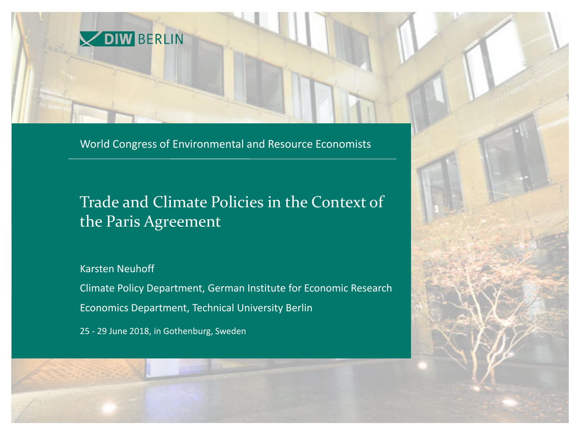

World Congress of Environmental and Resource Economists

### Trade and Climate Policies in the Context of the Paris Agreement

Karsten Neuhoff **1011** 

www.diw.de **Economics Department, Technical University Berlin** Climate Policy Department, German Institute for Economic Research

25 - 29 June 2018, in Gothenburg, Sweden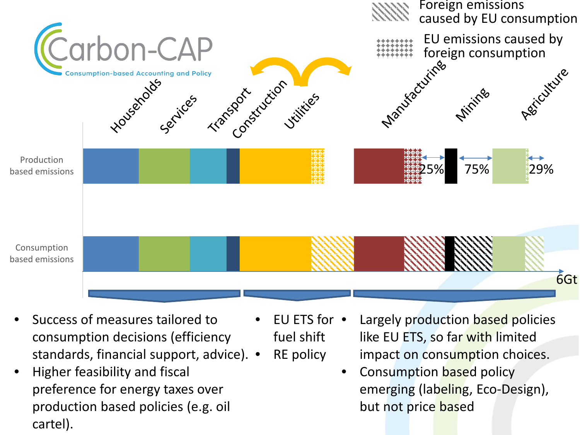

- Success of measures tailored to consumption decisions (efficiency standards, financial support, advice). •
- Higher feasibility and fiscal preference for energy taxes over production based policies (e.g. oil cartel).
- EU ETS for fuel shift
	- RE policy
- Largely production based policies like EU ETS, so far with limited impact on consumption choices.
	- Consumption based policy emerging (labeling, Eco-Design), but not price based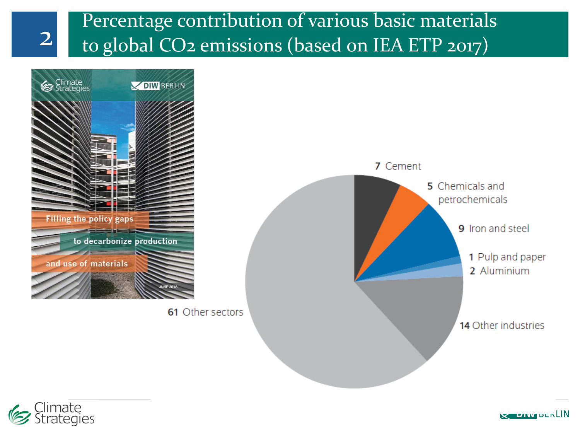## Percentage contribution of various basic materials 2 to global CO2 emissions (based on IEA ETP 2017)





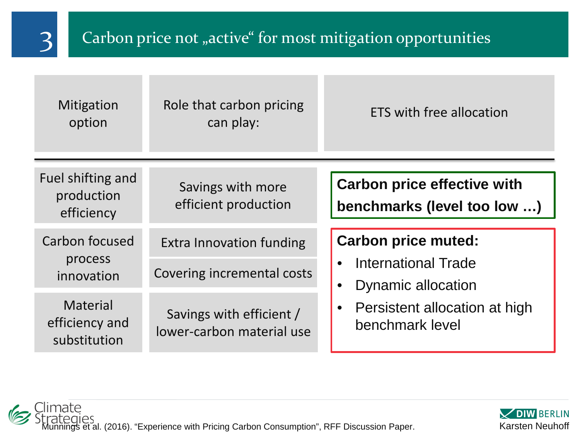

## 3 Carbon price not "active" for most mitigation opportunities

| <b>Mitigation</b><br>option                       | Role that carbon pricing<br>can play:                 | ETS with free allocation                                                                                                    |
|---------------------------------------------------|-------------------------------------------------------|-----------------------------------------------------------------------------------------------------------------------------|
| Fuel shifting and<br>production<br>efficiency     | Savings with more<br>efficient production             | <b>Carbon price effective with</b><br>benchmarks (level too low )                                                           |
| Carbon focused<br>process<br>innovation           | <b>Extra Innovation funding</b>                       | <b>Carbon price muted:</b><br>International Trade<br>Dynamic allocation<br>Persistent allocation at high<br>benchmark level |
|                                                   | Covering incremental costs                            |                                                                                                                             |
| <b>Material</b><br>efficiency and<br>substitution | Savings with efficient /<br>lower-carbon material use |                                                                                                                             |



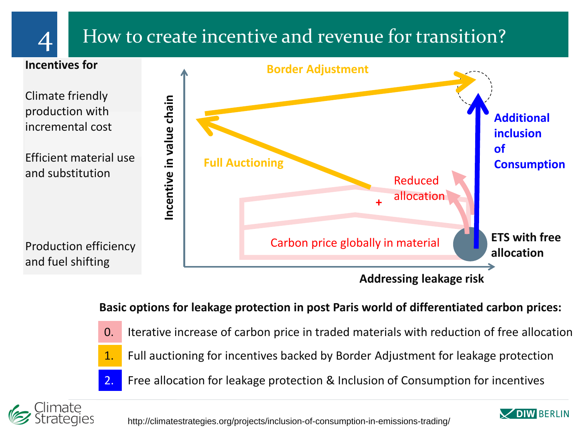

## $\Delta$  How to create incentive and revenue for transition?



#### **Basic options for leakage protection in post Paris world of differentiated carbon prices:**

- 0. Iterative increase of carbon price in traded materials with reduction of free allocation
	- 1. Full auctioning for incentives backed by Border Adjustment for leakage protection
	- 2. Free allocation for leakage protection & Inclusion of Consumption for incentives



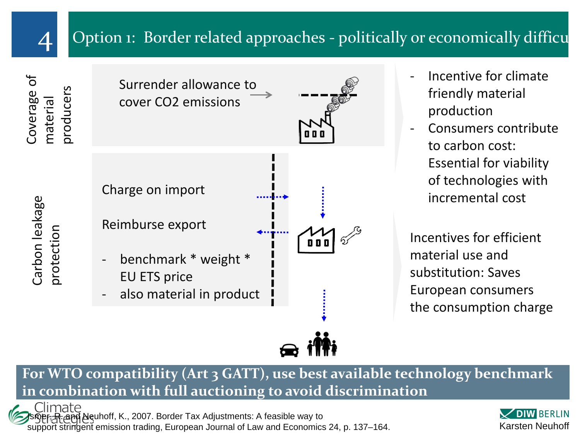

Coverage of

Coverage

ðf

material

naterial

### Option 1: Border related approaches - politically or economically difficu

Carbon leakage Carbon leakage protection



- Incentive for climate friendly material production
- Consumers contribute to carbon cost: Essential for viability of technologies with incremental cost

Incentives for efficient material use and substitution: Saves European consumers the consumption charge

**For WTO compatibility (Art 3 GATT), use best available technology benchmark in combination with full auctioning to avoid discrimination**

Climate and Neuhoff, K., 2007. Border Tax Adjustments: A feasible way to 6 support stringent emission trading, European Journal of Law and Economics 24, p. 137–164.

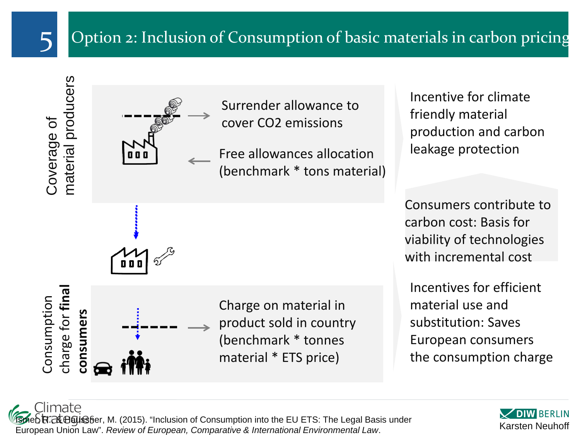

### 5 Option 2: Inclusion of Consumption of basic materials in carbon pricing

Coverage of<br>material producers



Surrender allowance to cover CO2 emissions

Free allowances allocation (benchmark \* tons material) Incentive for climate friendly material production and carbon leakage protection

Consumers contribute to carbon cost: Basis for viability of technologies with incremental cost

Incentives for efficient material use and substitution: Saves European consumers the consumption charge

charge for **final**  charge for fina Consumption Consumption consumers **consumers**

Charge on material in product sold in country (benchmark \* tonnes material \* ETS price)

> **DIW BERLIN** Karsten Neuhoff

Climate lsmeb识?RtB6uS§er, M. (2015). "Inclusion of Consumption into the EU ETS: The Legal Basis under European Union Law". *Review of European, Comparative & International Environmental Law*.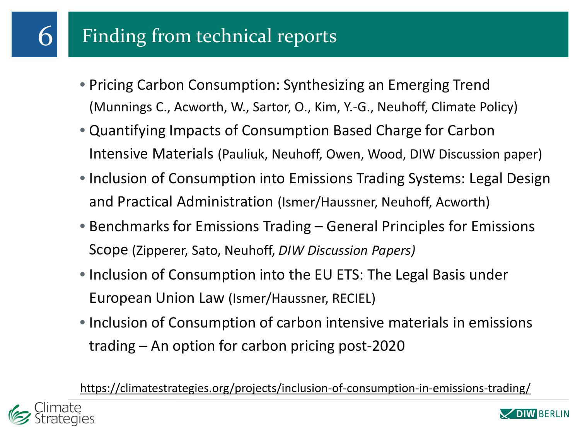# Finding from technical reports

- Pricing Carbon Consumption: Synthesizing an Emerging Trend (Munnings C., Acworth, W., Sartor, O., Kim, Y.-G., Neuhoff, Climate Policy)
- Quantifying Impacts of Consumption Based Charge for Carbon Intensive Materials (Pauliuk, Neuhoff, Owen, Wood, DIW Discussion paper)
- Inclusion of Consumption into Emissions Trading Systems: Legal Design and Practical Administration (Ismer/Haussner, Neuhoff, Acworth)
- Benchmarks for Emissions Trading General Principles for Emissions Scope (Zipperer, Sato, Neuhoff, *DIW Discussion Papers)*
- Inclusion of Consumption into the EU ETS: The Legal Basis under European Union Law (Ismer/Haussner, RECIEL)
- Inclusion of Consumption of carbon intensive materials in emissions trading – An option for carbon pricing post-2020

<https://climatestrategies.org/projects/inclusion-of-consumption-in-emissions-trading/>



6

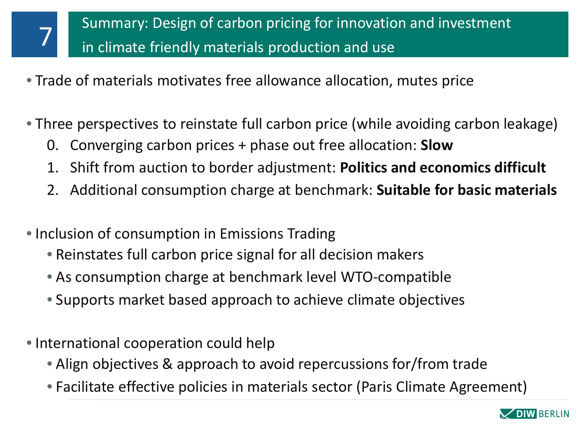- Trade of materials motivates free allowance allocation, mutes price
- Three perspectives to reinstate full carbon price (while avoiding carbon leakage)
	- 0. Converging carbon prices + phase out free allocation: **Slow**
	- 1. Shift from auction to border adjustment: **Politics and economics difficult**
	- 2. Additional consumption charge at benchmark: **Suitable for basic materials**
- Inclusion of consumption in Emissions Trading
	- Reinstates full carbon price signal for all decision makers
	- As consumption charge at benchmark level WTO-compatible
	- Supports market based approach to achieve climate objectives
- International cooperation could help

7

- Align objectives & approach to avoid repercussions for/from trade
- Facilitate effective policies in materials sector (Paris Climate Agreement)